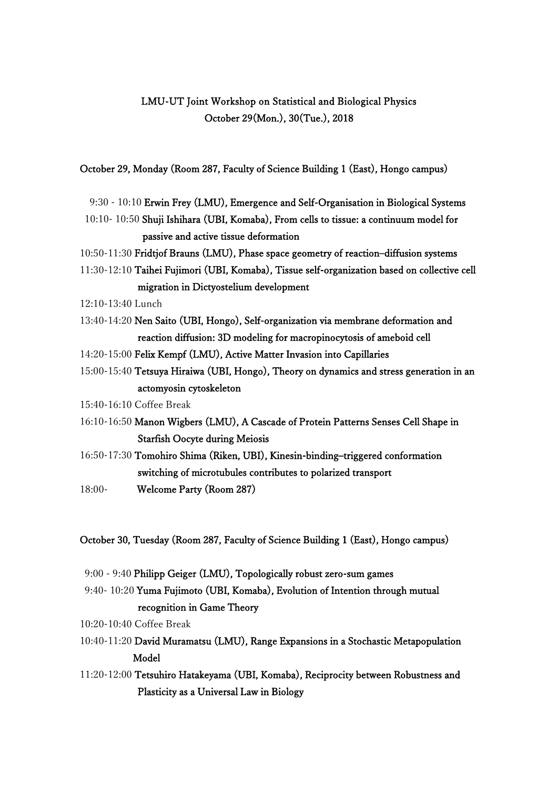## LMU-UT Joint Workshop on Statistical and Biological Physics October 29(Mon.), 30(Tue.), 2018

October 29, Monday (Room 287, Faculty of Science Building 1 (East), Hongo campus)

- 9:30 10:10 Erwin Frey (LMU), Emergence and Self-Organisation in Biological Systems
- 10:10- 10:50 Shuji Ishihara (UBI, Komaba), From cells to tissue: a continuum model for passive and active tissue deformation
- 10:50-11:30 Fridtjof Brauns (LMU), Phase space geometry of reaction–diffusion systems
- 11:30-12:10 Taihei Fujimori (UBI, Komaba), Tissue self-organization based on collective cell migration in Dictyostelium development
- 12:10-13:40 Lunch
- 13:40-14:20 Nen Saito (UBI, Hongo), Self-organization via membrane deformation and reaction diffusion: 3D modeling for macropinocytosis of ameboid cell
- 14:20-15:00 Felix Kempf (LMU), Active Matter Invasion into Capillaries
- 15:00-15:40 Tetsuya Hiraiwa (UBI, Hongo), Theory on dynamics and stress generation in an actomyosin cytoskeleton
- 15:40-16:10 Coffee Break
- 16:10-16:50 Manon Wigbers (LMU), A Cascade of Protein Patterns Senses Cell Shape in Starfish Oocyte during Meiosis
- 16:50-17:30 Tomohiro Shima (Riken, UBI), Kinesin-binding–triggered conformation switching of microtubules contributes to polarized transport
- 18:00- Welcome Party (Room 287)

October 30, Tuesday (Room 287, Faculty of Science Building 1 (East), Hongo campus)

- 9:00 9:40 Philipp Geiger (LMU), Topologically robust zero-sum games
- 9:40- 10:20 Yuma Fujimoto (UBI, Komaba), Evolution of Intention through mutual recognition in Game Theory
- 10:20-10:40 Coffee Break
- 10:40-11:20 David Muramatsu (LMU), Range Expansions in a Stochastic Metapopulation Model
- 11:20-12:00 Tetsuhiro Hatakeyama (UBI, Komaba), Reciprocity between Robustness and Plasticity as a Universal Law in Biology